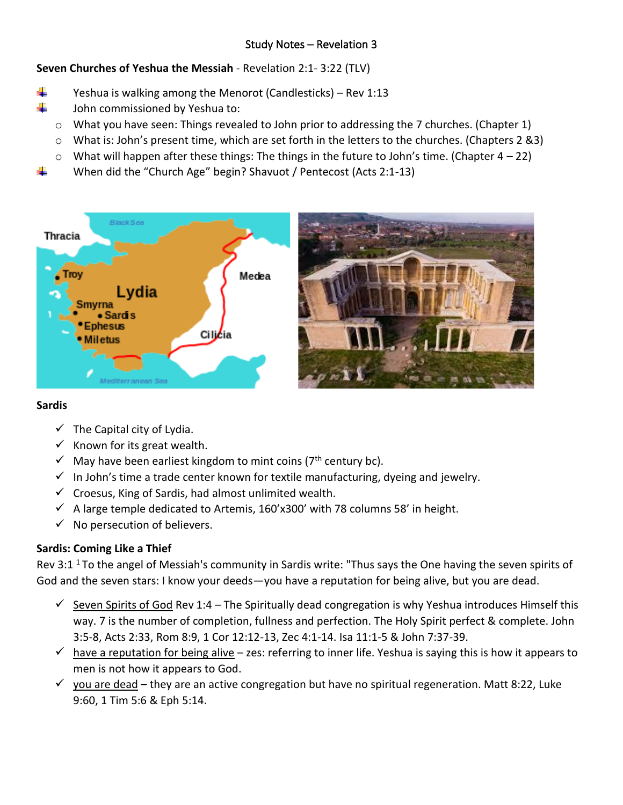# Study Notes – Revelation 3

**Seven Churches of Yeshua the Messiah** - Revelation 2:1- 3:22 (TLV)

- ÷ Yeshua is walking among the Menorot (Candlesticks) – Rev 1:13
- ÷ John commissioned by Yeshua to:
	- $\circ$  What you have seen: Things revealed to John prior to addressing the 7 churches. (Chapter 1)
	- o What is: John's present time, which are set forth in the letters to the churches. (Chapters 2 &3)
	- $\circ$  What will happen after these things: The things in the future to John's time. (Chapter 4 22)
	- When did the "Church Age" begin? Shavuot / Pentecost (Acts 2:1-13)



#### **Sardis**

- $\checkmark$  The Capital city of Lydia.
- $\checkmark$  Known for its great wealth.
- $\checkmark$  May have been earliest kingdom to mint coins (7<sup>th</sup> century bc).
- $\checkmark$  In John's time a trade center known for textile manufacturing, dyeing and jewelry.
- $\checkmark$  Croesus, King of Sardis, had almost unlimited wealth.
- $\checkmark$  A large temple dedicated to Artemis, 160'x300' with 78 columns 58' in height.
- $\checkmark$  No persecution of believers.

### **Sardis: Coming Like a Thief**

Rev 3:1<sup>1</sup> To the angel of Messiah's community in Sardis write: "Thus says the One having the seven spirits of God and the seven stars: I know your deeds—you have a reputation for being alive, but you are dead.

- $\checkmark$  Seven Spirits of God Rev 1:4 The Spiritually dead congregation is why Yeshua introduces Himself this way. 7 is the number of completion, fullness and perfection. The Holy Spirit perfect & complete. John 3:5-8, Acts 2:33, Rom 8:9, 1 Cor 12:12-13, Zec 4:1-14. Isa 11:1-5 & John 7:37-39.
- $\checkmark$  have a reputation for being alive zes: referring to inner life. Yeshua is saying this is how it appears to men is not how it appears to God.
- $\checkmark$  you are dead they are an active congregation but have no spiritual regeneration. Matt 8:22, Luke 9:60, 1 Tim 5:6 & Eph 5:14.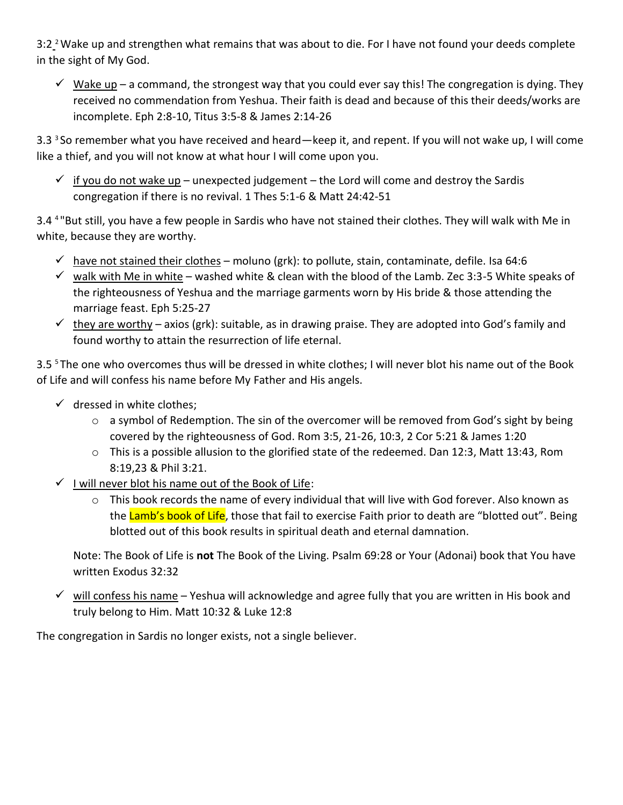3:2<sup>2</sup> Wake up and strengthen what remains that was about to die. For I have not found your deeds complete in the sight of My God.

 $\checkmark$  Wake up – a command, the strongest way that you could ever say this! The congregation is dying. They received no commendation from Yeshua. Their faith is dead and because of this their deeds/works are incomplete. Eph 2:8-10, Titus 3:5-8 & James 2:14-26

3.3 <sup>3</sup>So remember what you have received and heard—keep it, and repent. If you will not wake up, I will come like a thief, and you will not know at what hour I will come upon you.

 $\checkmark$  if you do not wake up – unexpected judgement – the Lord will come and destroy the Sardis congregation if there is no revival. 1 Thes 5:1-6 & Matt 24:42-51

3.4 <sup>4</sup>"But still, you have a few people in Sardis who have not stained their clothes. They will walk with Me in white, because they are worthy.

- $\checkmark$  have not stained their clothes moluno (grk): to pollute, stain, contaminate, defile. Isa 64:6
- $\checkmark$  walk with Me in white washed white & clean with the blood of the Lamb. Zec 3:3-5 White speaks of the righteousness of Yeshua and the marriage garments worn by His bride & those attending the marriage feast. Eph 5:25-27
- $\checkmark$  they are worthy axios (grk): suitable, as in drawing praise. They are adopted into God's family and found worthy to attain the resurrection of life eternal.

3.5 <sup>5</sup>The one who overcomes thus will be dressed in white clothes; I will never blot his name out of the Book of Life and will confess his name before My Father and His angels.

- $\checkmark$  dressed in white clothes;
	- o a symbol of Redemption. The sin of the overcomer will be removed from God's sight by being covered by the righteousness of God. Rom 3:5, 21-26, 10:3, 2 Cor 5:21 & James 1:20
	- o This is a possible allusion to the glorified state of the redeemed. Dan 12:3, Matt 13:43, Rom 8:19,23 & Phil 3:21.
- $\checkmark$  I will never blot his name out of the Book of Life:
	- $\circ$  This book records the name of every individual that will live with God forever. Also known as the Lamb's book of Life, those that fail to exercise Faith prior to death are "blotted out". Being blotted out of this book results in spiritual death and eternal damnation.

Note: The Book of Life is **not** The Book of the Living. Psalm 69:28 or Your (Adonai) book that You have written Exodus 32:32

 $\checkmark$  will confess his name – Yeshua will acknowledge and agree fully that you are written in His book and truly belong to Him. Matt 10:32 & Luke 12:8

The congregation in Sardis no longer exists, not a single believer.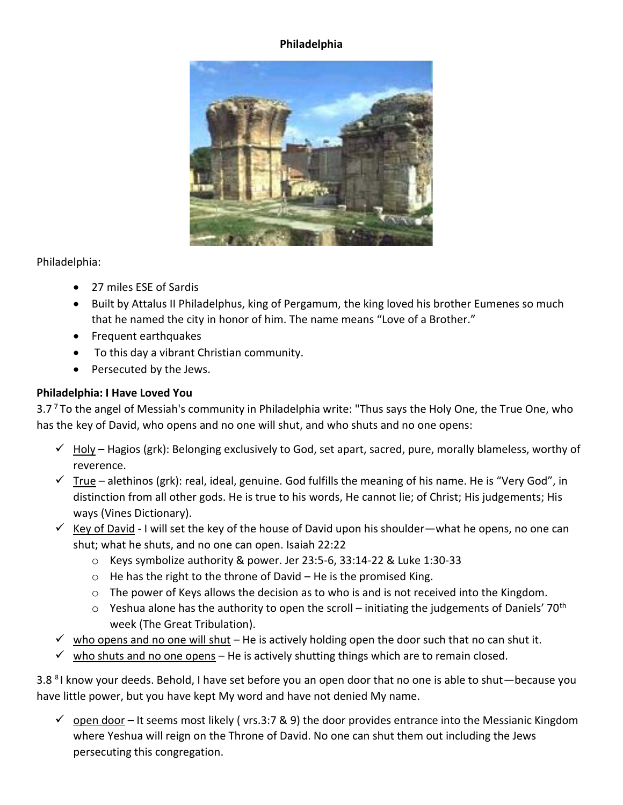### **Philadelphia**



Philadelphia:

- 27 miles ESE of Sardis
- Built by Attalus II Philadelphus, king of Pergamum, the king loved his brother Eumenes so much that he named the city in honor of him. The name means "Love of a Brother."
- Frequent earthquakes
- To this day a vibrant Christian community.
- Persecuted by the Jews.

# **Philadelphia: I Have Loved You**

3.7<sup>7</sup> To the angel of Messiah's community in Philadelphia write: "Thus says the Holy One, the True One, who has the key of David, who opens and no one will shut, and who shuts and no one opens:

- $\checkmark$  Holy Hagios (grk): Belonging exclusively to God, set apart, sacred, pure, morally blameless, worthy of reverence.
- $\checkmark$  True alethinos (grk): real, ideal, genuine. God fulfills the meaning of his name. He is "Very God", in distinction from all other gods. He is true to his words, He cannot lie; of Christ; His judgements; His ways (Vines Dictionary).
- ✓ Key of David I will set the key of the house of David upon his shoulder—what he opens, no one can shut; what he shuts, and no one can open. Isaiah 22:22
	- o Keys symbolize authority & power. Jer 23:5-6, 33:14-22 & Luke 1:30-33
	- $\circ$  He has the right to the throne of David He is the promised King.
	- o The power of Keys allows the decision as to who is and is not received into the Kingdom.
	- $\circ$  Yeshua alone has the authority to open the scroll initiating the judgements of Daniels' 70<sup>th</sup> week (The Great Tribulation).
- $\checkmark$  who opens and no one will shut He is actively holding open the door such that no can shut it.
- $\checkmark$  who shuts and no one opens He is actively shutting things which are to remain closed.

3.8 <sup>8</sup>I know your deeds. Behold, I have set before you an open door that no one is able to shut—because you have little power, but you have kept My word and have not denied My name.

 $\checkmark$  open door – It seems most likely (vrs.3:7 & 9) the door provides entrance into the Messianic Kingdom where Yeshua will reign on the Throne of David. No one can shut them out including the Jews persecuting this congregation.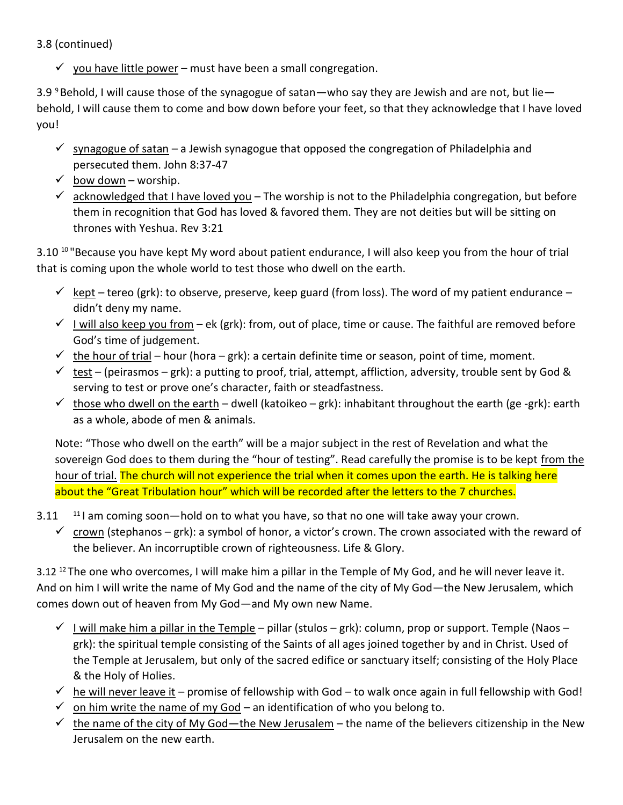3.8 (continued)

 $\checkmark$  you have little power – must have been a small congregation.

3.9  $9$  Behold, I will cause those of the synagogue of satan—who say they are Jewish and are not, but lie behold, I will cause them to come and bow down before your feet, so that they acknowledge that I have loved you!

- $\checkmark$  synagogue of satan a Jewish synagogue that opposed the congregation of Philadelphia and persecuted them. John 8:37-47
- $\checkmark$  bow down worship.
- $\checkmark$  acknowledged that I have loved you The worship is not to the Philadelphia congregation, but before them in recognition that God has loved & favored them. They are not deities but will be sitting on thrones with Yeshua. Rev 3:21

3.10<sup>10</sup> "Because you have kept My word about patient endurance, I will also keep you from the hour of trial that is coming upon the whole world to test those who dwell on the earth.

- $\checkmark$  kept tereo (grk): to observe, preserve, keep guard (from loss). The word of my patient endurance didn't deny my name.
- $\checkmark$  I will also keep you from ek (grk): from, out of place, time or cause. The faithful are removed before God's time of judgement.
- $\checkmark$  the hour of trial hour (hora grk): a certain definite time or season, point of time, moment.
- $\checkmark$  test (peirasmos grk): a putting to proof, trial, attempt, affliction, adversity, trouble sent by God & serving to test or prove one's character, faith or steadfastness.
- $\checkmark$  those who dwell on the earth dwell (katoikeo grk): inhabitant throughout the earth (ge -grk): earth as a whole, abode of men & animals.

Note: "Those who dwell on the earth" will be a major subject in the rest of Revelation and what the sovereign God does to them during the "hour of testing". Read carefully the promise is to be kept from the hour of trial. The church will not experience the trial when it comes upon the earth. He is talking here about the "Great Tribulation hour" which will be recorded after the letters to the 7 churches.

- $3.11$   $11$  am coming soon—hold on to what you have, so that no one will take away your crown.
	- $\checkmark$  crown (stephanos grk): a symbol of honor, a victor's crown. The crown associated with the reward of the believer. An incorruptible crown of righteousness. Life & Glory.

3.12<sup>12</sup> The one who overcomes, I will make him a pillar in the Temple of My God, and he will never leave it. And on him I will write the name of My God and the name of the city of My God—the New Jerusalem, which comes down out of heaven from My God—and My own new Name.

- $\checkmark$  I will make him a pillar in the Temple pillar (stulos grk): column, prop or support. Temple (Naos grk): the spiritual temple consisting of the Saints of all ages joined together by and in Christ. Used of the Temple at Jerusalem, but only of the sacred edifice or sanctuary itself; consisting of the Holy Place & the Holy of Holies.
- $\checkmark$  he will never leave it promise of fellowship with God to walk once again in full fellowship with God!
- $\checkmark$  on him write the name of my God an identification of who you belong to.
- $\checkmark$  the name of the city of My God—the New Jerusalem the name of the believers citizenship in the New Jerusalem on the new earth.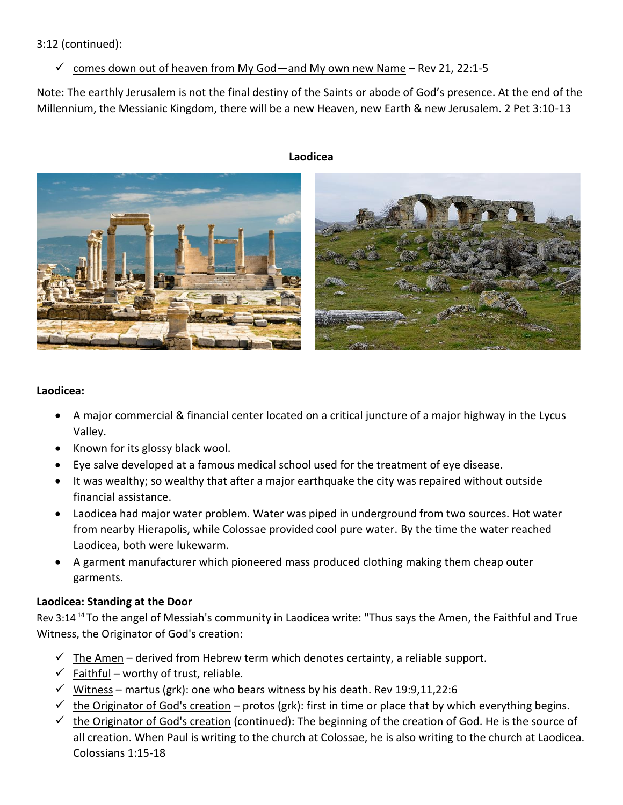3:12 (continued):

# $\checkmark$  comes down out of heaven from My God—and My own new Name – Rev 21, 22:1-5

Note: The earthly Jerusalem is not the final destiny of the Saints or abode of God's presence. At the end of the Millennium, the Messianic Kingdom, there will be a new Heaven, new Earth & new Jerusalem. 2 Pet 3:10-13

#### **Laodicea**



### **Laodicea:**

- A major commercial & financial center located on a critical juncture of a major highway in the Lycus Valley.
- Known for its glossy black wool.
- Eye salve developed at a famous medical school used for the treatment of eye disease.
- It was wealthy; so wealthy that after a major earthquake the city was repaired without outside financial assistance.
- Laodicea had major water problem. Water was piped in underground from two sources. Hot water from nearby Hierapolis, while Colossae provided cool pure water. By the time the water reached Laodicea, both were lukewarm.
- A garment manufacturer which pioneered mass produced clothing making them cheap outer garments.

# **Laodicea: Standing at the Door**

Rev 3:14 <sup>14</sup>To the angel of Messiah's community in Laodicea write: "Thus says the Amen, the Faithful and True Witness, the Originator of God's creation:

- $\checkmark$  The Amen derived from Hebrew term which denotes certainty, a reliable support.
- $\checkmark$  Faithful worthy of trust, reliable.
- $\checkmark$  Witness martus (grk): one who bears witness by his death. Rev 19:9,11,22:6
- $\checkmark$  the Originator of God's creation protos (grk): first in time or place that by which everything begins.
- $\checkmark$  the Originator of God's creation (continued): The beginning of the creation of God. He is the source of all creation. When Paul is writing to the church at Colossae, he is also writing to the church at Laodicea. Colossians 1:15-18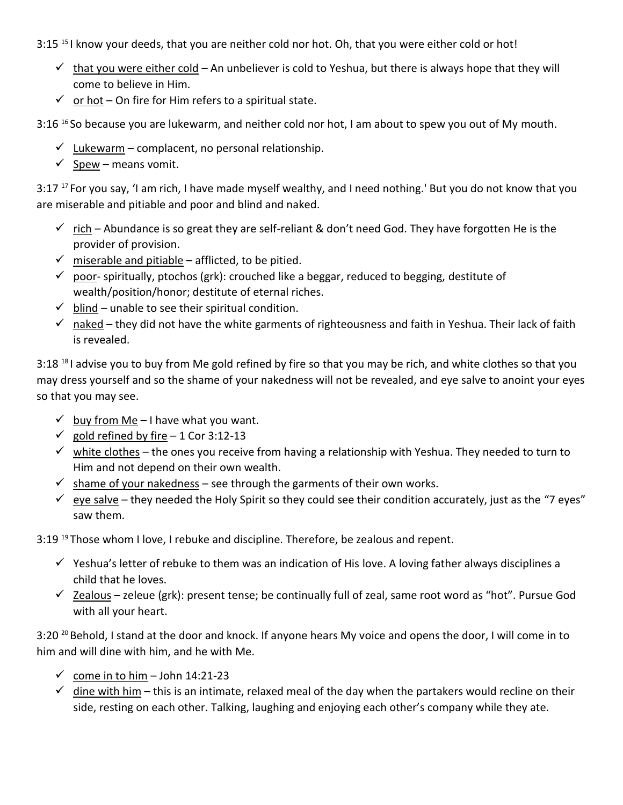3:15<sup>15</sup> I know your deeds, that you are neither cold nor hot. Oh, that you were either cold or hot!

- $\checkmark$  that you were either cold An unbeliever is cold to Yeshua, but there is always hope that they will come to believe in Him.
- $\checkmark$  or hot On fire for Him refers to a spiritual state.

 $3:16<sup>16</sup>$  So because you are lukewarm, and neither cold nor hot, I am about to spew you out of My mouth.

- $\checkmark$  Lukewarm complacent, no personal relationship.
- $\checkmark$  Spew means vomit.

3:17<sup>17</sup> For you say, 'I am rich, I have made myself wealthy, and I need nothing.' But you do not know that you are miserable and pitiable and poor and blind and naked.

- $\checkmark$  rich Abundance is so great they are self-reliant & don't need God. They have forgotten He is the provider of provision.
- $\checkmark$  miserable and pitiable afflicted, to be pitied.
- $\checkmark$  poor-spiritually, ptochos (grk): crouched like a beggar, reduced to begging, destitute of wealth/position/honor; destitute of eternal riches.
- $\checkmark$  blind unable to see their spiritual condition.
- $\checkmark$  naked they did not have the white garments of righteousness and faith in Yeshua. Their lack of faith is revealed.

3:18<sup>18</sup>I advise you to buy from Me gold refined by fire so that you may be rich, and white clothes so that you may dress yourself and so the shame of your nakedness will not be revealed, and eye salve to anoint your eyes so that you may see.

- $\checkmark$  buy from Me I have what you want.
- ✓ gold refined by fire 1 Cor 3:12-13
- $\checkmark$  white clothes the ones you receive from having a relationship with Yeshua. They needed to turn to Him and not depend on their own wealth.
- $\checkmark$  shame of your nakedness see through the garments of their own works.
- $\checkmark$  eye salve they needed the Holy Spirit so they could see their condition accurately, just as the "7 eyes" saw them.

3:19<sup>19</sup> Those whom I love, I rebuke and discipline. Therefore, be zealous and repent.

- $\checkmark$  Yeshua's letter of rebuke to them was an indication of His love. A loving father always disciplines a child that he loves.
- ✓ Zealous zeleue (grk): present tense; be continually full of zeal, same root word as "hot". Pursue God with all your heart.

3:20<sup>20</sup> Behold, I stand at the door and knock. If anyone hears My voice and opens the door, I will come in to him and will dine with him, and he with Me.

- ✓ come in to him John 14:21-23
- $\checkmark$  dine with him this is an intimate, relaxed meal of the day when the partakers would recline on their side, resting on each other. Talking, laughing and enjoying each other's company while they ate.